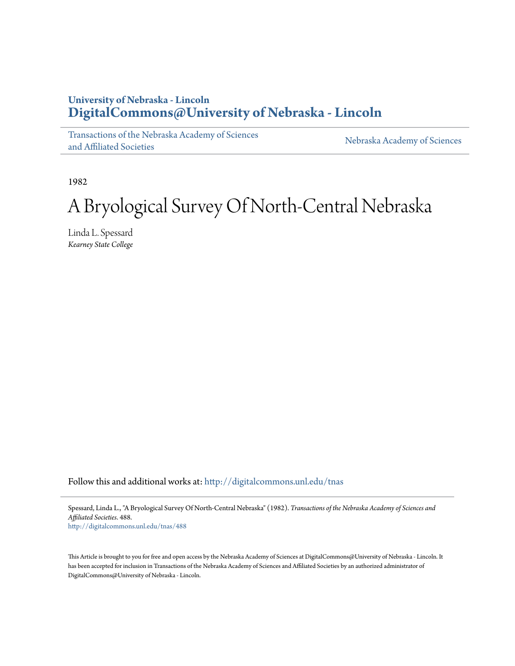# **University of Nebraska - Lincoln [DigitalCommons@University of Nebraska - Lincoln](http://digitalcommons.unl.edu?utm_source=digitalcommons.unl.edu%2Ftnas%2F488&utm_medium=PDF&utm_campaign=PDFCoverPages)**

[Transactions of the Nebraska Academy of Sciences](http://digitalcommons.unl.edu/tnas?utm_source=digitalcommons.unl.edu%2Ftnas%2F488&utm_medium=PDF&utm_campaign=PDFCoverPages) [and Affiliated Societies](http://digitalcommons.unl.edu/tnas?utm_source=digitalcommons.unl.edu%2Ftnas%2F488&utm_medium=PDF&utm_campaign=PDFCoverPages)

[Nebraska Academy of Sciences](http://digitalcommons.unl.edu/nebacadsci?utm_source=digitalcommons.unl.edu%2Ftnas%2F488&utm_medium=PDF&utm_campaign=PDFCoverPages)

1982

# A Bryological Survey Of North-Central Nebraska

Linda L. Spessard *Kearney State College*

Follow this and additional works at: [http://digitalcommons.unl.edu/tnas](http://digitalcommons.unl.edu/tnas?utm_source=digitalcommons.unl.edu%2Ftnas%2F488&utm_medium=PDF&utm_campaign=PDFCoverPages)

Spessard, Linda L., "A Bryological Survey Of North-Central Nebraska" (1982). *Transactions of the Nebraska Academy of Sciences and Affiliated Societies*. 488.

[http://digitalcommons.unl.edu/tnas/488](http://digitalcommons.unl.edu/tnas/488?utm_source=digitalcommons.unl.edu%2Ftnas%2F488&utm_medium=PDF&utm_campaign=PDFCoverPages)

This Article is brought to you for free and open access by the Nebraska Academy of Sciences at DigitalCommons@University of Nebraska - Lincoln. It has been accepted for inclusion in Transactions of the Nebraska Academy of Sciences and Affiliated Societies by an authorized administrator of DigitalCommons@University of Nebraska - Lincoln.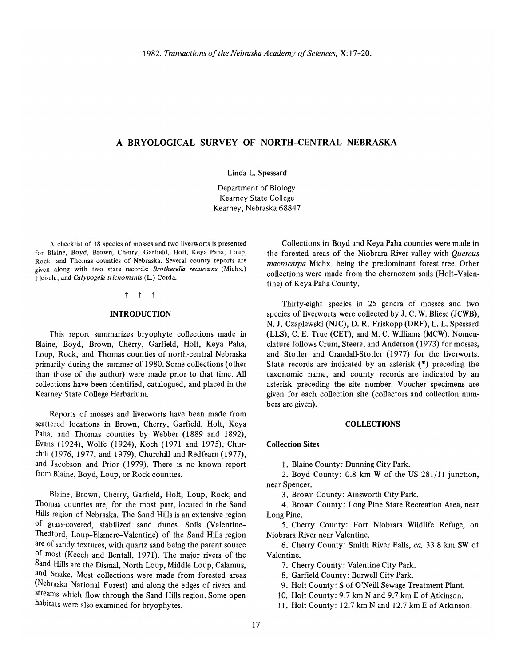# A **BRYOLOGICAL SURVEY OF NORTH-CENTRAL NEBRASKA**

Linda L. Spessard

Department of Biology Kearney State College Kearney, Nebraska 68847

A checklist of 38 species of mosses and two liverworts is presented for Blaine, Boyd, Brown, Cherry, Garfield, Holt, Keya Paha, Loup, Rock, and Thomas counties of Nebraska. Several county reports are given along with two state records: *Brotherella recurvans* (Michx.) Fleisch., and *Calypogeia trichomonis* (L.) Corda.

t t t

### **INTRODUCTION**

This report summarizes bryophyte collections made in Blaine, Boyd, Brown, Cherry, Garfield, Holt, Keya Paha, Loup, Rock, and Thomas counties of north-central Nebraska primarily during the summer of 1980. Some collections (other than those of the author) were made prior to that time. All collections have been identified, catalogued, and placed in the Kearney State College Herbarium

Reports of mosses and liverworts have been made from scattered locations in Brown, Cherry, Garfield, Holt, Keya Paha, and Thomas counties by Webber (1889 and 1892), Evans (1924), Wolfe (1924), Koch (1971 and 1975), Churchill (1976, 1977, and 1979), Churchill and Redfearn (1977), and Jacobson and Prior (1979). There is no known report from Blaine, Boyd, Loup, or Rock counties.

Blaine, Brown, Cherry, Garfield, Holt, Loup, Rock, and Thomas counties are, for the most part, located in the Sand Hills region of Nebraska. The Sand Hills is an extensive region of grass-covered, stabilized sand dunes. Soils (Valentine-Thedford, Loup-Elsmere-Valentine) of the Sand Hills region are of sandy textures, with quartz sand being the parent source of most (Keech and Bentall, 1971). The major rivers of the Sand Hills are the Dismal, North Loup, Middle Loup, Calamus, and Snake. Most collections were made from forested areas (Nebraska National Forest) and along the edges of rivers and streams which flow through the Sand Hills region. Some open habitats were also examined for bryophytes.

Collections in Boyd and Keya Paha counties were made in the forested areas of the Niobrara River valley with *Quercus macrocarpa* Michx. being the predominant forest tree. Other collections were made from the chernozem soils (Holt-Valentine) of Keya Paha County.

Thirty-eight species in 25 genera of mosses and two species of liverworts were collected by J. C. W. Bliese (JCWB), N. J. Czaplewski (NJC), D. R. Friskopp (DRF), L. L. Spessard (LLS), C. E. True (CET), and M. C. Williams (MCW). Nomenclature follows Crum, Steere, and Anderson (1973) for mosses, and Stotler and Crandall-Stotler (1977) for the liverworts. State records are indicated by an asterisk (\*) preceding the taxonomic name, and county records are indicated by an asterisk preceding the site number. Voucher specimens are given for each collection site (collectors and collection numbers are given).

# **COLLECTIONS**

#### Collection Sites

1. Blaine County: Dunning City Park.

2. Boyd County: 0.8 km W of the US 281/11 junction, near Spencer.

3. Brown County: Ainsworth City Park.

4. Brown County: Long Pine State Recreation Area, near Long Pine.

5. Cherry County: Fort Niobrara Wildlife Refuge, on Niobrara River near Valentine.

6. Cherry County: Smith River Falls, *ca.* 33.8 km SW of Valentine.

7. Cherry County: Valentine City Park.

8. Garfield County: Burwell City Park.

9. Halt County: S of O'Neill Sewage Treatment Plant.

10. Halt County: 9.7 km Nand 9.7 km E of Atkinson.

11. Holt County: 12.7 km N and 12.7 km E of Atkinson.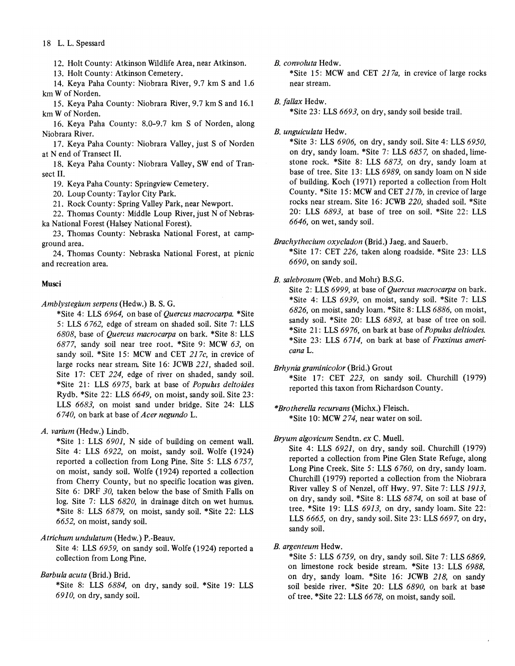# 18 L. L. Spessard

12. Halt County: Atkinson Wildlife Area, near Atkinson.

13. Halt County: Atkinson Cemetery.

14. Keya Paha County: Niobrara River, 9.7 km S and 1.6 km W of Norden.

15. Keya Paha County: Niobrara River, 9.7 km S and 16.1 km W of Norden.

16. Keya Paha County: 8.0-9.7 km S of Norden, along Niobrara River.

17. Keya Paha County: Niobrara Valley, just S of Norden at N end of Transect 11.

18. Keya Paha County: Niobrara Valley, SW end of Transect II.

19. Keya Paha County: Springview Cemetery.

20. Loup County: Taylor City Park.

21. Rock County: Spring Valley Park, near Newport.

22. Thomas County: Middle Loup River, just N of Nebraska National Forest (Halsey National Forest).

23. Thomas County: Nebraska National Forest, at campground area.

24. Thomas County: Nebraska National Forest, at picnic and recreation area.

#### Musci

*Amblystegium serpens* (Hedw.) B. S. G.

\*Site 4: LLS 6964, on base of *Quercus macrocarpa.* \*Site 5: LLS 6762, edge of stream on shaded soil. Site 7: LLS *6808,* base of *Quercus macrocarpa* on bark. \*Site 8: LLS 6877, sandy soil near tree root. \*Site 9: MCW 63, on sandy soil. \*Site 15: MCW and CET *217c,* in crevice of large rocks near stream. Site 16: JCWB 221, shaded soil. Site 17: CET 224, edge of river on shaded, sandy soil. \*Site 21: LLS 6975, bark at base of *Popuhls deltoides*  Rydb. \*Site 22: LLS 6649, on moist, sandy soil. Site 23: LLS 6683, on moist sand under bridge. Site 24: LLS *6740,* on bark at base of *Acer negundo* L.

*A. varium* (Hedw.) Lindb.

\* Site 1: LLS *6901,* N side of building on cement wall. Site 4: LLS 6922, on moist, sandy soil. Wolfe (1924) reported a collection from Long Pine. Site 5: LLS 6757, on moist, sandy soil. Wolfe (1924) reported a collection from Cherry County, but no specific location was given. Site 6: DRF *30,* taken below the base of Smith Falls on log. Site 7: LLS *6820,* in drainage ditch on wet humus. \*Site 8: LLS 6879, on moist, sandy soil. \*Site 22: LLS 6652, on moist, sandy soil.

*Atrichum undulatum* (Hedw.) P.-Beauv.

Site 4: LLS 6959, on sandy soil. Wolfe (1924) reported a collection from Long Pine.

# *Barbula acuta* (Brid.) Brid.

\*Site 8: LLS 6884, on dry, sandy soil. \*Site 19: LLS *6910,* on dry, sandy soil.

*B. convoluta* Hedw.

\*Site 15: MCW and CET *217a,* in crevice of large rocks near stream.

### *B. fallax* Hedw.

\*Site 23: LLS 6693, on dry, sandy soil beside trail.

### *B. unguiculata* Hedw.

\*Site 3: LLS *6906,* on dry, sandy soil. Site 4: LLS *6950,*  on dry, sandy loam. \*Site 7: LLS 6857, on shaded, limestone rock. \*Site 8: LLS 6873, on dry, sandy loam at base of tree. Site 13: LLS 6989, on sandy loam on N side of building. Koch (1971) reported a collection from Halt County. \*Site 15: MCW and CET 217b, in crevice of large rocks near stream. Site 16: JCWB *220,* shaded soil. \*Site 20: LLS 6893, at base of tree on soil. \*Site 22: LLS 6646, on wet, sandy soil.

*Brachythecium oxycladon* (Brid.) Jaeg. and Sauerb.

\*Site 17: CET 226, taken along roadside. \*Site 23: LLS *6690,* on sandy soil.

# *B. salebrosum* (Web. and Mohr) B.S.G.

Site 2: LLS 6999, at base of *Quercus macrocarpa* on bark. \*Site 4: LLS 6939, on moist, sandy soil. \*Site 7: LLS 6826, on moist, sandy loam. \*Site 8: LLS 6886, on moist, sandy soil. \*Site 20: LLS 6893, at base of tree on soil. \*Site 21: LLS 6976, on bark at base of *Popuhls deltiodes.*  \*Site 23: LLS 6714, on bark at base of *Fraxinus americana* L.

*Brhynia graminicolor* (Brid.) Grout

\*Site 17: CET 223, on sandy soil. Churchill (1979) reported this taxon from Richardson County.

# *\*Brotherella recurvans* (Michx.) F1eisch.

\*Site 10: MCW 274, near water on soil.

# *Bryum algovicum* Sendtn. *ex* C. Muell.

Site 4: LLS 6921, on dry, sandy soil. Churchill (1979) reported a collection from Pine Glen State Refuge, along Long Pine Creek. Site 5: LLS *6760,* on dry, sandy loam. Churchill (1979) reported a collection from the Niobrara River valley S of Nenzel, off Hwy. 97. Site 7: LLS 1913, on dry, sandy soil. \*Site 8: LLS 6874, on soil at base of tree. \*Site 19: LLS  $6913$ , on dry, sandy loam. Site 22: LLS 6665, on dry, sandy soil. Site 23: LLS 6697, on dry, sandy soil.

# *B. argenteum* Hedw.

\*Site 5: LLS 6759, on dry, sandy soil. Site 7: LLS 6869, on limestone rock beside stream. \*Site 13: LLS 6988, on dry, sandy loam. \*Site 16: JCWB 218, on sandy soil beside river. \*Site 20: LLS *6890,* on bark at base of tree. \*Site 22: LLS 6678, on moist, sandy soil.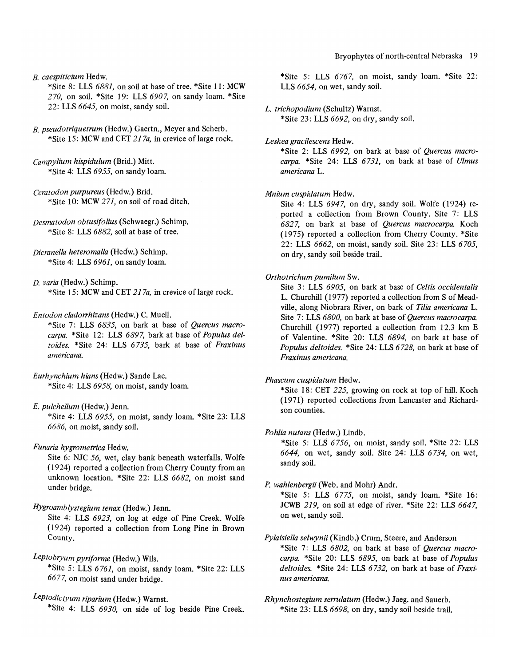*B. caespiticium* Hedw.

\*Site 8: LLS 6881, on soil at base of tree. \*Site 11: MCW *270,* on soil. \*Site 19: LLS *6907,* on sandy loam. \*Site 22: LLS 6645, on moist, sandy soil.

*B. pseudotriquetrum* (Hedw.) Gaertn., Meyer and Scherb. \*Site 15: MCW and CET 217a, in crevice of large rock.

*Campylium hispidulum* (Brid.) Mitt. \*Site 4: LLS 6955, on sandy loam.

*Ceratodon purpureus* (Hedw.) Brid. \*Site 10: MCW 271, on soil of road ditch.

*Desmatodon obtusifolius* (Schwaegr.) Schimp. \*Site 8: LLS 6882, soil at base of tree.

*Dicranella heteromalla* (Hedw.) Schimp. \*Site 4: LLS 6961, on sandy loam.

*D. varia* (Hedw.) Schimp. \* Site 15: MCW and CET 217a, in crevice of large rock.

*Entodon cladorrhizans* (Hedw.) C. Muell.

\*Site 7: LLS 6835, on bark at base of *Quercus macrocarpa.* \*Site 12: LLS 6897, bark at base of *Populus delto ides.* \*Site 24: LLS 6735, bark at base of *Fraxinus americana.* 

*Eurhynchium hians* (Hedw.) Sande Lac. \*Site 4: LLS 6958, on moist, sandy loam.

*E. pulchellum* (Hedw.) Jenn. \*Site 4: LLS 6955, on moist, sandy loam. \*Site 23: LLS 6686, on moist, sandy soil.

*Funaria hygrometrica* Hedw.

Site 6: NJC 56, wet, clay bank beneath waterfalls. Wolfe  $(1924)$  reported a collection from Cherry County from an unknown location. \*Site 22: LLS 6682, on moist sand under bridge.

*Hygroamblystegium tenax* (Hedw.) Jenn.

Site 4: LLS 6923, on log at edge of Pine Creek. Wolfe (1924) reported a collection from Long Pine in Brown County.

*Leptobryum pyriforme* (Hedw.) Wils. \*Site 5: LLS 6761, on moist, sandy loam. \*Site 22: LLS 6677, on moist sand under bridge.

*Leptodictyum riparium* (Hedw.) Wamst. \*Site 4: LLS *6930,* on side of log beside Pine Creek.

\*Site 5: LLS 6767, on moist, sandy loam. \*Site 22: LLS 6654, on wet, sandy soil.

*L. trichopodium* (Schultz) Wamst.

\*Site 23: LLS 6692, on dry, sandy soil.

*Leskea gracilescens* Hedw.

\*Site 2: LLS 6992, on bark at base of *Quercus macrocarpa.* \*Site 24: LLS 6731, on bark at base of *Ulmus americana* L.

*Mnium cuspidatum* Hedw.

Site 4: LLS 6947, on dry, sandy soil. Wolfe (1924) reported a collection from Brown County. Site 7: LLS 6827, on bark at base of *Quercus macrocarpa.* Koch (1975) reported a collection from Cherry County. \*Site 22: LLS 6662, on moist, sandy soil. Site 23: LLS *6705,*  on dry, sandy soil beside trail.

# *Orthotrichum pumilum* Sw.

Site 3: LLS *6905,* on bark at base of *Celtis occidentalis*  L. Churchill (1977) reported a collection from S of Meadville, along Niobrara River, on bark of *Tilia americana* L. Site 7: LLS *6800,* on bark at base of *Quercus macrocarpa.*  Churchill (1977) reported a collection from 12.3 km E of Valentine. \*Site 20: LLS 6894, on bark at base of *Populus deltoides.* \*Site 24: LLS 6728, on bark at base of *Fraxinus americana.* 

*Phascum cuspidatum* Hedw.

\*Site 18: CET 225, growing on rock at top of hill. Koch (1971) reported collections from Lancaster and Richardson counties.

# *Pohlia nu tans* (Hedw.) Lindb.

\*Site 5: LLS 6756, on moist, sandy soil. \*Site 22: LLS 6644, on wet, sandy soil. Site 24: LLS 6734, on wet, sandy soil.

*P. wahlenbergii* (Web. and Mohr) Andr.

\*Site 5: LLS 6775, on moist, sandy loam. \*Site 16: JCWB 219, on soil at edge of river. \*Site 22: LLS 6647, on wet, sandy soil.

*Pylaisiella selwynii* (Kindb.) Crum, Steere, and Anderson \*Site 7: LLS *6802,* on bark at base of *Quercus macrocarpa.* \*Site 20: LLS 6895, on bark at base of *Populus deltoides.* \*Site 24: LLS 6732, on bark at base of *Fraxinus americana.* 

*Rhynchostegium serrulatum* (Hedw.) Jaeg. and Sauerb. \*Site 23: LLS 6698, on dry, sandy soil beside trail.